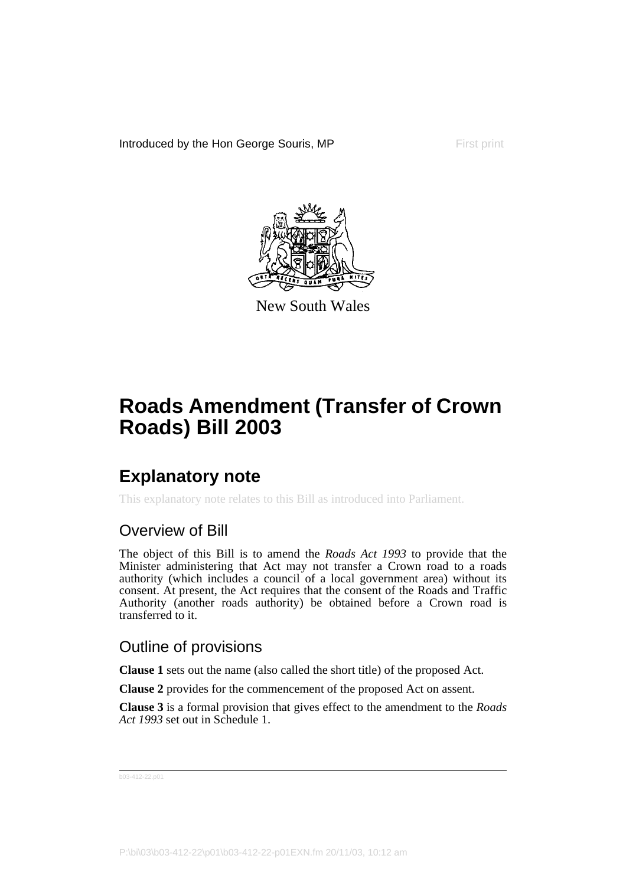Introduced by the Hon George Souris, MP First print



New South Wales

# **Roads Amendment (Transfer of Crown Roads) Bill 2003**

## **Explanatory note**

This explanatory note relates to this Bill as introduced into Parliament.

### Overview of Bill

The object of this Bill is to amend the *Roads Act 1993* to provide that the Minister administering that Act may not transfer a Crown road to a roads authority (which includes a council of a local government area) without its consent. At present, the Act requires that the consent of the Roads and Traffic Authority (another roads authority) be obtained before a Crown road is transferred to it.

#### Outline of provisions

**Clause 1** sets out the name (also called the short title) of the proposed Act.

**Clause 2** provides for the commencement of the proposed Act on assent.

**Clause 3** is a formal provision that gives effect to the amendment to the *Roads Act 1993* set out in Schedule 1.

```
b03-412-22.p01
```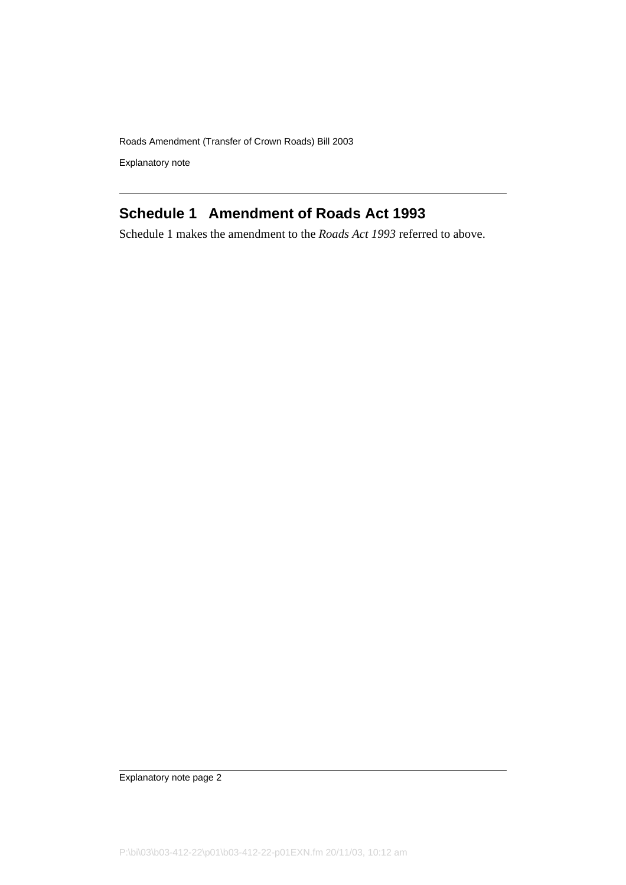Roads Amendment (Transfer of Crown Roads) Bill 2003

Explanatory note

#### **Schedule 1 Amendment of Roads Act 1993**

Schedule 1 makes the amendment to the *Roads Act 1993* referred to above.

Explanatory note page 2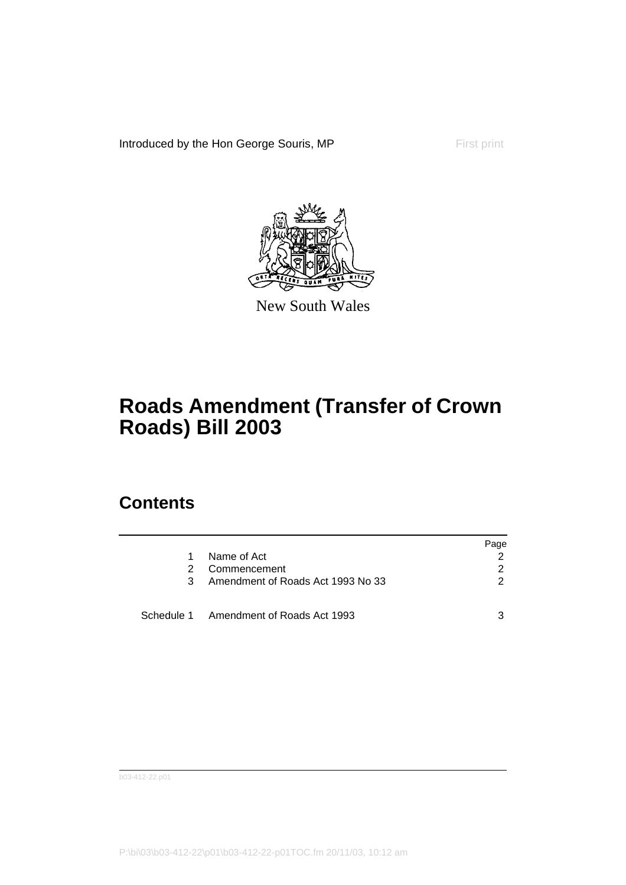Introduced by the Hon George Souris, MP First print



New South Wales

## **Roads Amendment (Transfer of Crown Roads) Bill 2003**

## **Contents**

|    |                                        | Page |
|----|----------------------------------------|------|
| 1. | Name of Act                            |      |
| 2. | Commencement                           |      |
| 3  | Amendment of Roads Act 1993 No 33      |      |
|    | Schedule 1 Amendment of Roads Act 1993 |      |

b03-412-22.p01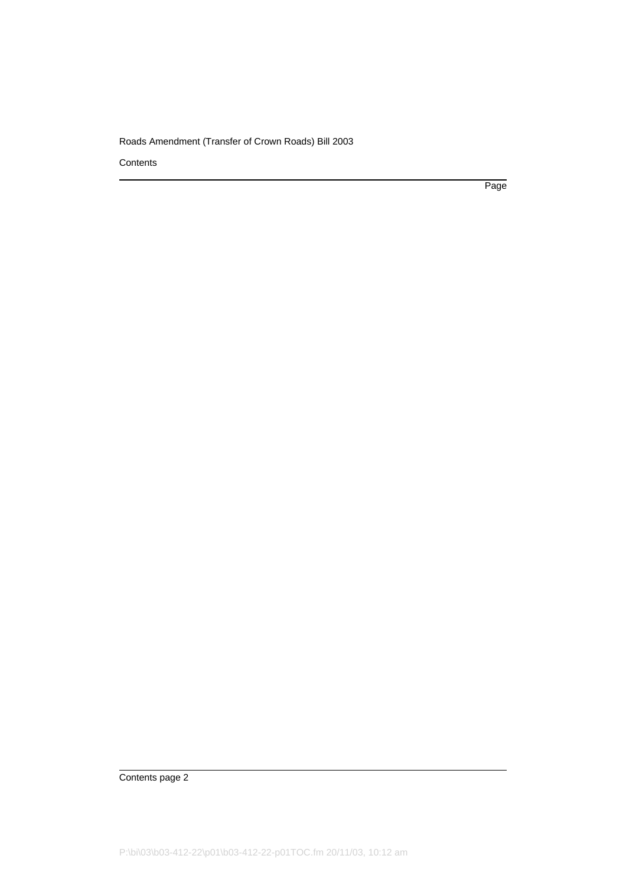#### Roads Amendment (Transfer of Crown Roads) Bill 2003

**Contents** 

Page

Contents page 2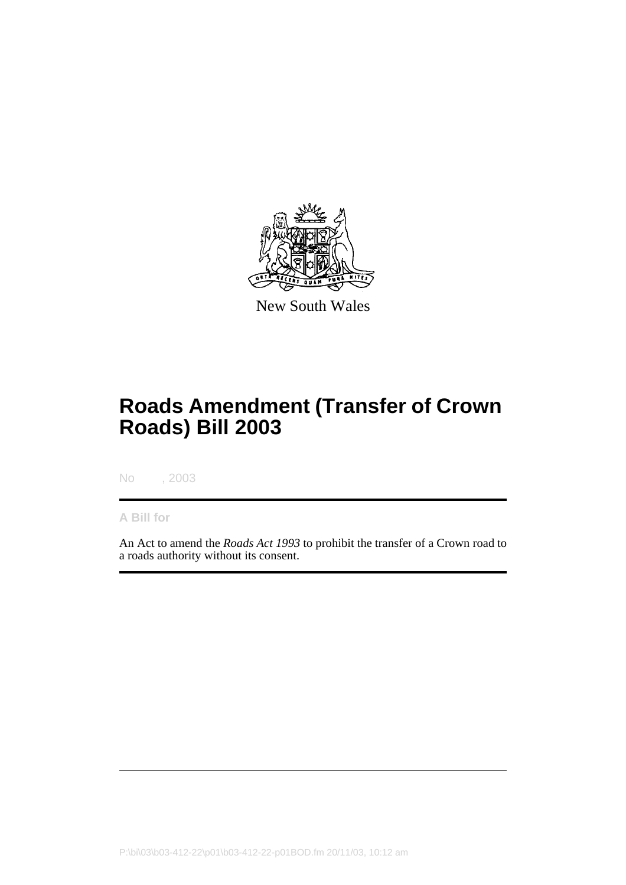

New South Wales

# **Roads Amendment (Transfer of Crown Roads) Bill 2003**

No , 2003

#### **A Bill for**

An Act to amend the *Roads Act 1993* to prohibit the transfer of a Crown road to a roads authority without its consent.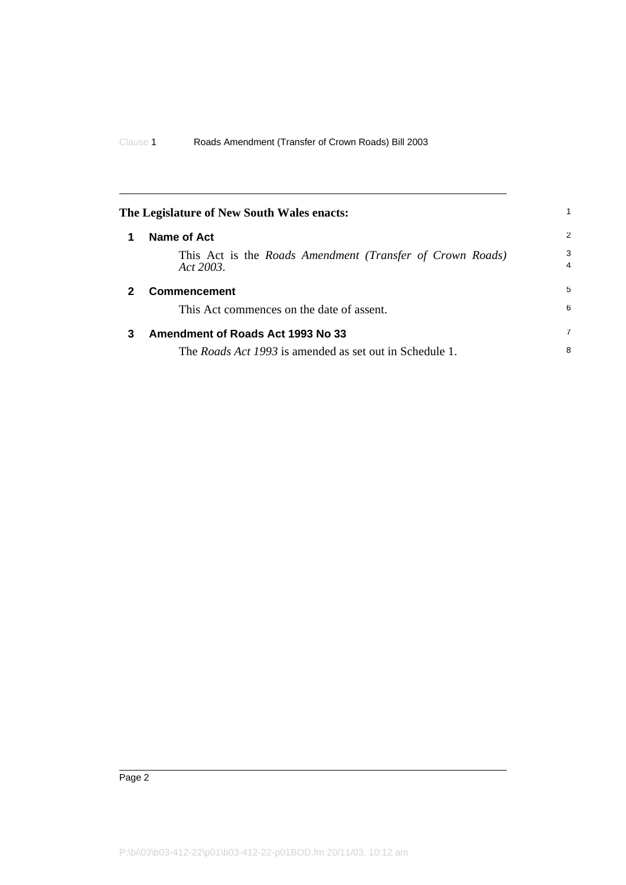<span id="page-5-2"></span><span id="page-5-1"></span><span id="page-5-0"></span>

|   | The Legislature of New South Wales enacts:                                | 1                   |
|---|---------------------------------------------------------------------------|---------------------|
|   | Name of Act                                                               | 2                   |
|   | This Act is the Roads Amendment (Transfer of Crown Roads)<br>Act $2003$ . | 3<br>$\overline{a}$ |
|   | <b>Commencement</b>                                                       | 5                   |
|   | This Act commences on the date of assent.                                 | 6                   |
| 3 | Amendment of Roads Act 1993 No 33                                         | $\overline{7}$      |
|   | The <i>Roads Act 1993</i> is amended as set out in Schedule 1.            | 8                   |